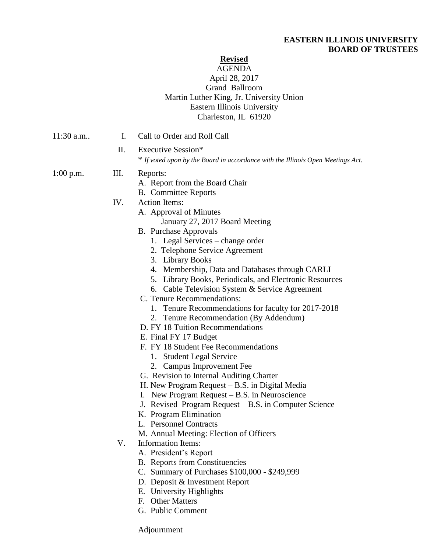# **EASTERN ILLINOIS UNIVERSITY BOARD OF TRUSTEES**

# **Revised**

# AGENDA April 28, 2017 Grand Ballroom Martin Luther King, Jr. University Union Eastern Illinois University Charleston, IL 61920

| $11:30$ a.m | $\mathbf{I}$ . | Call to Order and Roll Call                                                                                                                                                                                                                                                                                                                                                                                                                                                                                                                                                                                                                                                                                                                                                                                                                                                                                                                                                                                                                                                                                                                                                                                                      |
|-------------|----------------|----------------------------------------------------------------------------------------------------------------------------------------------------------------------------------------------------------------------------------------------------------------------------------------------------------------------------------------------------------------------------------------------------------------------------------------------------------------------------------------------------------------------------------------------------------------------------------------------------------------------------------------------------------------------------------------------------------------------------------------------------------------------------------------------------------------------------------------------------------------------------------------------------------------------------------------------------------------------------------------------------------------------------------------------------------------------------------------------------------------------------------------------------------------------------------------------------------------------------------|
|             | П.             | Executive Session*<br>* If voted upon by the Board in accordance with the Illinois Open Meetings Act.                                                                                                                                                                                                                                                                                                                                                                                                                                                                                                                                                                                                                                                                                                                                                                                                                                                                                                                                                                                                                                                                                                                            |
| $1:00$ p.m. | Ш.             | Reports:<br>A. Report from the Board Chair<br><b>B.</b> Committee Reports                                                                                                                                                                                                                                                                                                                                                                                                                                                                                                                                                                                                                                                                                                                                                                                                                                                                                                                                                                                                                                                                                                                                                        |
|             | IV.<br>V.      | <b>Action Items:</b><br>A. Approval of Minutes<br>January 27, 2017 Board Meeting<br><b>B.</b> Purchase Approvals<br>1. Legal Services – change order<br>2. Telephone Service Agreement<br>3. Library Books<br>4. Membership, Data and Databases through CARLI<br>5. Library Books, Periodicals, and Electronic Resources<br>6. Cable Television System & Service Agreement<br>C. Tenure Recommendations:<br>1. Tenure Recommendations for faculty for 2017-2018<br>2. Tenure Recommendation (By Addendum)<br>D. FY 18 Tuition Recommendations<br>E. Final FY 17 Budget<br>F. FY 18 Student Fee Recommendations<br>1. Student Legal Service<br>2. Campus Improvement Fee<br>G. Revision to Internal Auditing Charter<br>H. New Program Request $-$ B.S. in Digital Media<br>I. New Program Request – B.S. in Neuroscience<br>J. Revised Program Request – B.S. in Computer Science<br>K. Program Elimination<br>L. Personnel Contracts<br>M. Annual Meeting: Election of Officers<br>Information Items:<br>A. President's Report<br><b>B.</b> Reports from Constituencies<br>C. Summary of Purchases \$100,000 - \$249,999<br>D. Deposit & Investment Report<br>E. University Highlights<br>F. Other Matters<br>G. Public Comment |

Adjournment